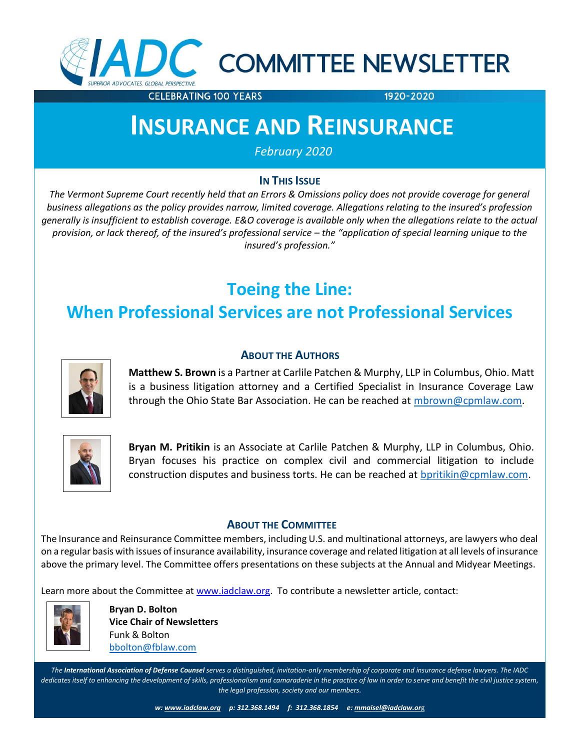

# C COMMITTEE NEWSLETTER

**CELEBRATING 100 YEARS** 

1920-2020

## **INSURANCE AND REINSURANCE**

*February 2020*

### **IN THIS ISSUE**

*The Vermont Supreme Court recently held that an Errors & Omissions policy does not provide coverage for general business allegations as the policy provides narrow, limited coverage. Allegations relating to the insured's profession generally is insufficient to establish coverage. E&O coverage is available only when the allegations relate to the actual provision, or lack thereof, of the insured's professional service – the "application of special learning unique to the insured's profession."*

### **Toeing the Line:**

### **When Professional Services are not Professional Services**

**ABOUT THE AUTHORS**



**Matthew S. Brown** is a Partner at Carlile Patchen & Murphy, LLP in Columbus, Ohio. Matt is a business litigation attorney and a Certified Specialist in Insurance Coverage Law through the Ohio State Bar Association. He can be reached at [mbrown@cpmlaw.com.](mailto:mbrown@cpmlaw.com)



**Bryan M. Pritikin** is an Associate at Carlile Patchen & Murphy, LLP in Columbus, Ohio. Bryan focuses his practice on complex civil and commercial litigation to include construction disputes and business torts. He can be reached at [bpritikin@cpmlaw.com.](mailto:bpritikin@cpmlaw.com)

### **ABOUT THE COMMITTEE**

The Insurance and Reinsurance Committee members, including U.S. and multinational attorneys, are lawyers who deal on a regular basis with issues of insurance availability, insurance coverage and related litigation at all levels of insurance above the primary level. The Committee offers presentations on these subjects at the Annual and Midyear Meetings.

Learn more about the Committee at [www.iadclaw.org.](http://www.iadclaw.org/) To contribute a newsletter article, contact:



**Bryan D. Bolton Vice Chair of Newsletters** Funk & Bolton [bbolton@fblaw.com](mailto:bbolton@fblaw.com)

*The International Association of Defense Counsel serves a distinguished, invitation-only membership of corporate and insurance defense lawyers. The IADC*  dedicates itself to enhancing the development of skills, professionalism and camaraderie in the practice of law in order to serve and benefit the civil justice system, *the legal profession, society and our members.*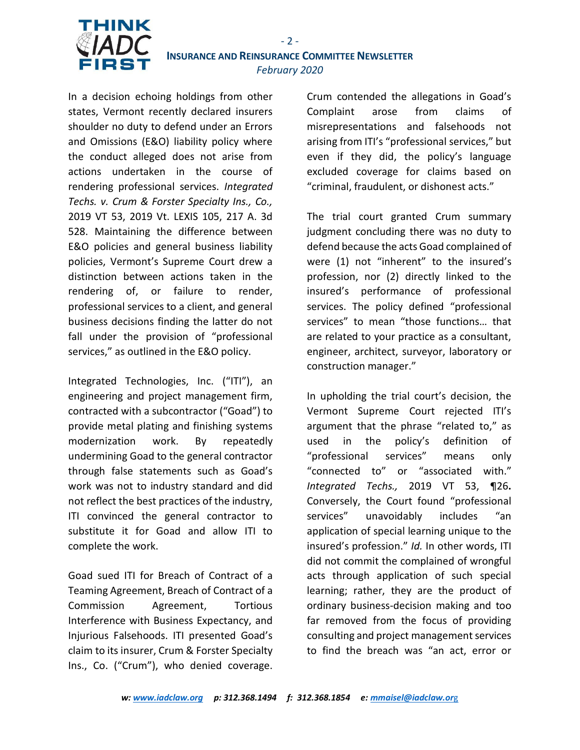

In a decision echoing holdings from other states, Vermont recently declared insurers shoulder no duty to defend under an Errors and Omissions (E&O) liability policy where the conduct alleged does not arise from actions undertaken in the course of rendering professional services. *Integrated Techs. v. Crum & Forster Specialty Ins., Co.,*  2019 VT 53, 2019 Vt. LEXIS 105, 217 A. 3d 528. Maintaining the difference between E&O policies and general business liability policies, Vermont's Supreme Court drew a distinction between actions taken in the rendering of, or failure to render, professional services to a client, and general business decisions finding the latter do not fall under the provision of "professional services," as outlined in the E&O policy.

Integrated Technologies, Inc. ("ITI"), an engineering and project management firm, contracted with a subcontractor ("Goad") to provide metal plating and finishing systems modernization work. By repeatedly undermining Goad to the general contractor through false statements such as Goad's work was not to industry standard and did not reflect the best practices of the industry, ITI convinced the general contractor to substitute it for Goad and allow ITI to complete the work.

Goad sued ITI for Breach of Contract of a Teaming Agreement, Breach of Contract of a Commission Agreement, Tortious Interference with Business Expectancy, and Injurious Falsehoods. ITI presented Goad's claim to its insurer, Crum & Forster Specialty Ins., Co. ("Crum"), who denied coverage.

Crum contended the allegations in Goad's Complaint arose from claims of misrepresentations and falsehoods not arising from ITI's "professional services," but even if they did, the policy's language excluded coverage for claims based on "criminal, fraudulent, or dishonest acts."

The trial court granted Crum summary judgment concluding there was no duty to defend because the acts Goad complained of were (1) not "inherent" to the insured's profession, nor (2) directly linked to the insured's performance of professional services. The policy defined "professional services" to mean "those functions… that are related to your practice as a consultant, engineer, architect, surveyor, laboratory or construction manager."

In upholding the trial court's decision, the Vermont Supreme Court rejected ITI's argument that the phrase "related to," as used in the policy's definition of "professional services" means only "connected to" or "associated with." *Integrated Techs.,* 2019 VT 53, ¶26**.**  Conversely, the Court found "professional services" unavoidably includes "an application of special learning unique to the insured's profession." *Id.* In other words, ITI did not commit the complained of wrongful acts through application of such special learning; rather, they are the product of ordinary business-decision making and too far removed from the focus of providing consulting and project management services to find the breach was "an act, error or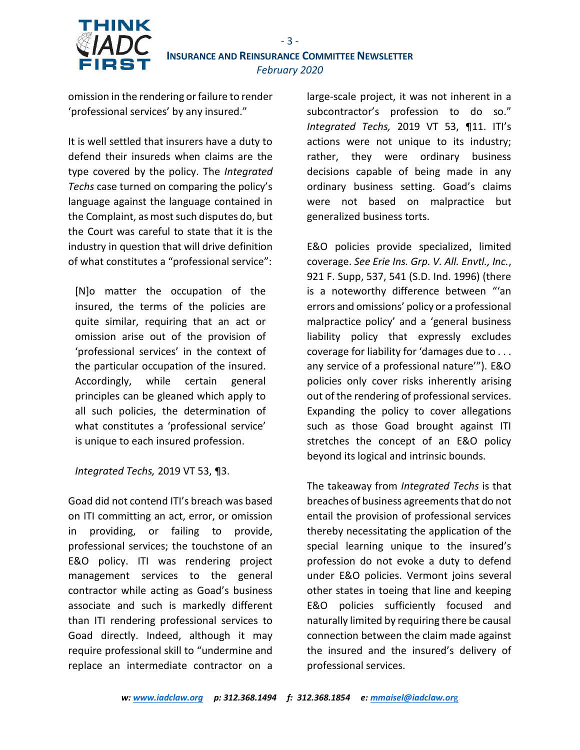

omission in the rendering or failure to render 'professional services' by any insured."

THINK

It is well settled that insurers have a duty to defend their insureds when claims are the type covered by the policy. The *Integrated Techs* case turned on comparing the policy's language against the language contained in the Complaint, as most such disputes do, but the Court was careful to state that it is the industry in question that will drive definition of what constitutes a "professional service":

[N]o matter the occupation of the insured, the terms of the policies are quite similar, requiring that an act or omission arise out of the provision of 'professional services' in the context of the particular occupation of the insured. Accordingly, while certain general principles can be gleaned which apply to all such policies, the determination of what constitutes a 'professional service' is unique to each insured profession.

*Integrated Techs,* 2019 VT 53, ¶3.

Goad did not contend ITI's breach was based on ITI committing an act, error, or omission in providing, or failing to provide, professional services; the touchstone of an E&O policy. ITI was rendering project management services to the general contractor while acting as Goad's business associate and such is markedly different than ITI rendering professional services to Goad directly. Indeed, although it may require professional skill to "undermine and replace an intermediate contractor on a

large-scale project, it was not inherent in a subcontractor's profession to do so." *Integrated Techs,* 2019 VT 53, ¶11. ITI's actions were not unique to its industry; rather, they were ordinary business decisions capable of being made in any ordinary business setting. Goad's claims were not based on malpractice but generalized business torts.

E&O policies provide specialized, limited coverage. *See Erie Ins. Grp. V. All. Envtl., Inc.*, 921 F. Supp, 537, 541 (S.D. Ind. 1996) (there is a noteworthy difference between "'an errors and omissions' policy or a professional malpractice policy' and a 'general business liability policy that expressly excludes coverage for liability for 'damages due to . . . any service of a professional nature'"). E&O policies only cover risks inherently arising out of the rendering of professional services. Expanding the policy to cover allegations such as those Goad brought against ITI stretches the concept of an E&O policy beyond its logical and intrinsic bounds.

The takeaway from *Integrated Techs* is that breaches of business agreements that do not entail the provision of professional services thereby necessitating the application of the special learning unique to the insured's profession do not evoke a duty to defend under E&O policies. Vermont joins several other states in toeing that line and keeping E&O policies sufficiently focused and naturally limited by requiring there be causal connection between the claim made against the insured and the insured's delivery of professional services.